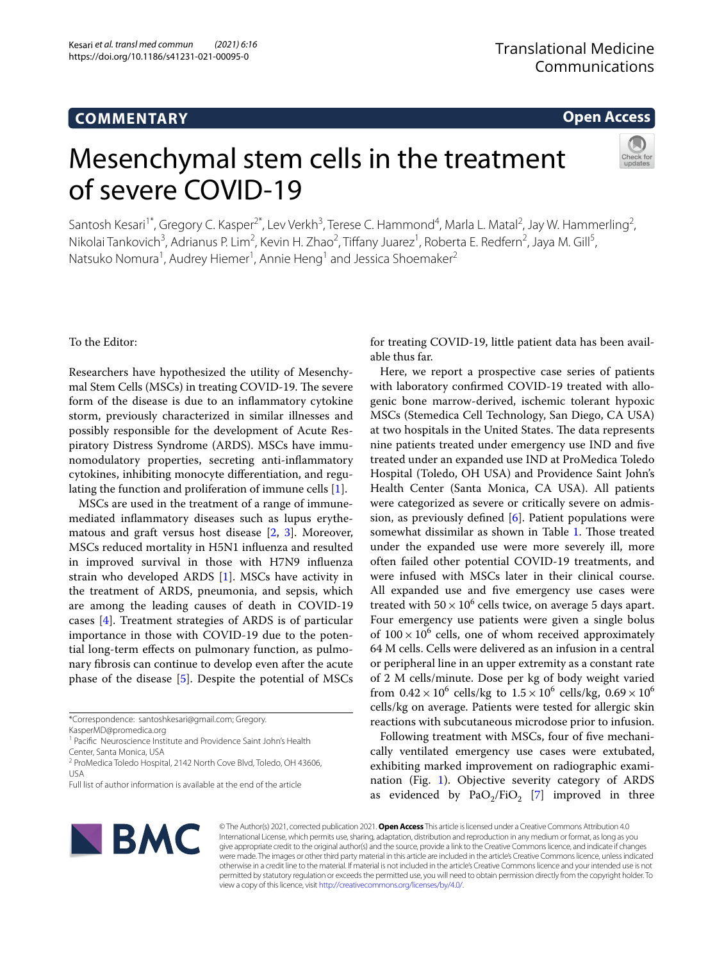# **COMMENTARY**

**Open Access**

# Mesenchymal stem cells in the treatment of severe COVID-19



Santosh Kesari<sup>1\*</sup>, Gregory C. Kasper<sup>2\*</sup>, Lev Verkh<sup>3</sup>, Terese C. Hammond<sup>4</sup>, Marla L. Matal<sup>2</sup>, Jay W. Hammerling<sup>2</sup>, Nikolai Tankovich<sup>3</sup>, Adrianus P. Lim<sup>2</sup>, Kevin H. Zhao<sup>2</sup>, Tiffany Juarez<sup>1</sup>, Roberta E. Redfern<sup>2</sup>, Jaya M. Gill<sup>5</sup>, Natsuko Nomura<sup>1</sup>, Audrey Hiemer<sup>1</sup>, Annie Heng<sup>1</sup> and Jessica Shoemaker<sup>2</sup>

To the Editor:

Researchers have hypothesized the utility of Mesenchymal Stem Cells (MSCs) in treating COVID-19. The severe form of the disease is due to an infammatory cytokine storm, previously characterized in similar illnesses and possibly responsible for the development of Acute Respiratory Distress Syndrome (ARDS). MSCs have immunomodulatory properties, secreting anti-infammatory cytokines, inhibiting monocyte diferentiation, and regulating the function and proliferation of immune cells [[1\]](#page-3-0).

MSCs are used in the treatment of a range of immunemediated infammatory diseases such as lupus erythematous and graft versus host disease [[2,](#page-3-1) [3\]](#page-3-2). Moreover, MSCs reduced mortality in H5N1 infuenza and resulted in improved survival in those with H7N9 infuenza strain who developed ARDS [\[1](#page-3-0)]. MSCs have activity in the treatment of ARDS, pneumonia, and sepsis, which are among the leading causes of death in COVID-19 cases [[4\]](#page-3-3). Treatment strategies of ARDS is of particular importance in those with COVID-19 due to the potential long-term efects on pulmonary function, as pulmonary fbrosis can continue to develop even after the acute phase of the disease [\[5](#page-3-4)]. Despite the potential of MSCs

KasperMD@promedica.org

<sup>1</sup> Pacific Neuroscience Institute and Providence Saint John's Health Center, Santa Monica, USA

<sup>2</sup> ProMedica Toledo Hospital, 2142 North Cove Blvd, Toledo, OH 43606, USA

for treating COVID-19, little patient data has been available thus far.

Here, we report a prospective case series of patients with laboratory confrmed COVID-19 treated with allogenic bone marrow-derived, ischemic tolerant hypoxic MSCs (Stemedica Cell Technology, San Diego, CA USA) at two hospitals in the United States. The data represents nine patients treated under emergency use IND and fve treated under an expanded use IND at ProMedica Toledo Hospital (Toledo, OH USA) and Providence Saint John's Health Center (Santa Monica, CA USA). All patients were categorized as severe or critically severe on admission, as previously defined  $[6]$  $[6]$  $[6]$ . Patient populations were somewhat dissimilar as shown in Table [1](#page-1-0). Those treated under the expanded use were more severely ill, more often failed other potential COVID-19 treatments, and were infused with MSCs later in their clinical course. All expanded use and fve emergency use cases were treated with  $50 \times 10^6$  cells twice, on average 5 days apart. Four emergency use patients were given a single bolus of  $100 \times 10^6$  cells, one of whom received approximately 64 M cells. Cells were delivered as an infusion in a central or peripheral line in an upper extremity as a constant rate of 2 M cells/minute. Dose per kg of body weight varied from  $0.42 \times 10^6$  cells/kg to  $1.5 \times 10^6$  cells/kg,  $0.69 \times 10^6$ cells/kg on average. Patients were tested for allergic skin reactions with subcutaneous microdose prior to infusion.

Following treatment with MSCs, four of five mechanically ventilated emergency use cases were extubated, exhibiting marked improvement on radiographic examination (Fig. [1](#page-1-1)). Objective severity category of ARDS as evidenced by  $PaO<sub>2</sub>/FiO<sub>2</sub>$  [[7\]](#page-3-6) improved in three



© The Author(s) 2021, corrected publication 2021. **Open Access** This article is licensed under a Creative Commons Attribution 4.0 International License, which permits use, sharing, adaptation, distribution and reproduction in any medium or format, as long as you give appropriate credit to the original author(s) and the source, provide a link to the Creative Commons licence, and indicate if changes were made. The images or other third party material in this article are included in the article's Creative Commons licence, unless indicated otherwise in a credit line to the material. If material is not included in the article's Creative Commons licence and your intended use is not permitted by statutory regulation or exceeds the permitted use, you will need to obtain permission directly from the copyright holder. To view a copy of this licence, visit [http://creativecommons.org/licenses/by/4.0/.](http://creativecommons.org/licenses/by/4.0/)

<sup>\*</sup>Correspondence: santoshkesari@gmail.com; Gregory.

Full list of author information is available at the end of the article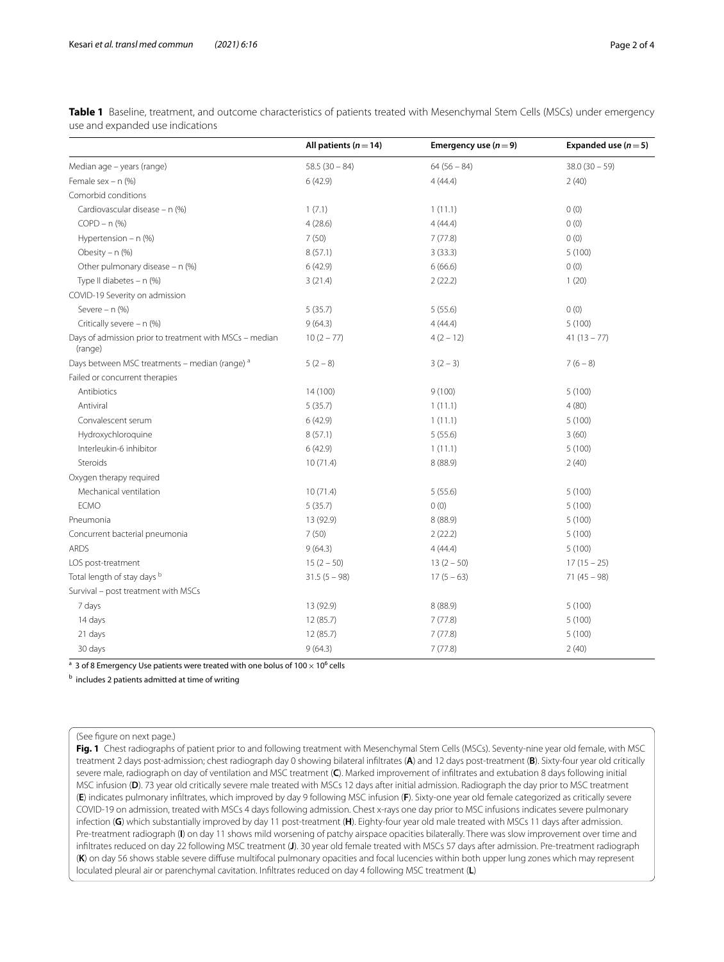|                                                                    | All patients ( $n = 14$ ) | Emergency use $(n=9)$ | Expanded use $(n=5)$ |
|--------------------------------------------------------------------|---------------------------|-----------------------|----------------------|
| Median age - years (range)                                         | $58.5(30 - 84)$           | $64(56-84)$           | $38.0(30 - 59)$      |
| Female sex $- n$ (%)                                               | 6(42.9)                   | 4(44.4)               | 2(40)                |
| Comorbid conditions                                                |                           |                       |                      |
| Cardiovascular disease - n (%)                                     | 1(7.1)                    | 1(11.1)               | 0(0)                 |
| $COPD - n$ (%)                                                     | 4(28.6)                   | 4(44.4)               | 0(0)                 |
| Hypertension - $n$ (%)                                             | 7(50)                     | 7(77.8)               | 0(0)                 |
| Obesity - n (%)                                                    | 8(57.1)                   | 3(33.3)               | 5(100)               |
| Other pulmonary disease - n (%)                                    | 6(42.9)                   | 6(66.6)               | 0(0)                 |
| Type II diabetes $- n$ (%)                                         | 3(21.4)                   | 2(22.2)               | 1(20)                |
| COVID-19 Severity on admission                                     |                           |                       |                      |
| Severe $- n$ (%)                                                   | 5(35.7)                   | 5(55.6)               | 0(0)                 |
| Critically severe - n (%)                                          | 9(64.3)                   | 4(44.4)               | 5(100)               |
| Days of admission prior to treatment with MSCs - median<br>(range) | $10(2 - 77)$              | $4(2 - 12)$           | $41(13 - 77)$        |
| Days between MSC treatments - median (range) a                     | $5(2-8)$                  | $3(2-3)$              | $7(6-8)$             |
| Failed or concurrent therapies                                     |                           |                       |                      |
| Antibiotics                                                        | 14 (100)                  | 9(100)                | 5(100)               |
| Antiviral                                                          | 5(35.7)                   | 1(11.1)               | 4(80)                |
| Convalescent serum                                                 | 6(42.9)                   | 1(11.1)               | 5(100)               |
| Hydroxychloroquine                                                 | 8(57.1)                   | 5(55.6)               | 3(60)                |
| Interleukin-6 inhibitor                                            | 6(42.9)                   | 1(11.1)               | 5(100)               |
| Steroids                                                           | 10(71.4)                  | 8 (88.9)              | 2(40)                |
| Oxygen therapy required                                            |                           |                       |                      |
| Mechanical ventilation                                             | 10(71.4)                  | 5(55.6)               | 5(100)               |
| <b>ECMO</b>                                                        | 5(35.7)                   | 0(0)                  | 5(100)               |
| Pneumonia                                                          | 13 (92.9)                 | 8 (88.9)              | 5(100)               |
| Concurrent bacterial pneumonia                                     | 7(50)                     | 2(22.2)               | 5(100)               |
| <b>ARDS</b>                                                        | 9(64.3)                   | 4(44.4)               | 5(100)               |
| LOS post-treatment                                                 | $15(2 - 50)$              | $13(2 - 50)$          | $17(15 - 25)$        |
| Total length of stay days b                                        | $31.5(5 - 98)$            | $17(5-63)$            | $71(45 - 98)$        |
| Survival - post treatment with MSCs                                |                           |                       |                      |
| 7 days                                                             | 13 (92.9)                 | 8 (88.9)              | 5(100)               |
| 14 days                                                            | 12(85.7)                  | 7(77.8)               | 5(100)               |
| 21 days                                                            | 12(85.7)                  | 7(77.8)               | 5(100)               |
| 30 days                                                            | 9(64.3)                   | 7(77.8)               | 2(40)                |

<span id="page-1-0"></span>**Table 1** Baseline, treatment, and outcome characteristics of patients treated with Mesenchymal Stem Cells (MSCs) under emergency use and expanded use indications

 $^{\rm a}$  3 of 8 Emergency Use patients were treated with one bolus of 100  $\times$  10 $^{\rm 6}$  cells

**b** includes 2 patients admitted at time of writing

(See fgure on next page.)

<span id="page-1-1"></span>**Fig. 1** Chest radiographs of patient prior to and following treatment with Mesenchymal Stem Cells (MSCs). Seventy-nine year old female, with MSC treatment 2 days post-admission; chest radiograph day 0 showing bilateral infltrates (**A**) and 12 days post-treatment (**B**). Sixty-four year old critically severe male, radiograph on day of ventilation and MSC treatment (**C**). Marked improvement of infltrates and extubation 8 days following initial MSC infusion (**D**). 73 year old critically severe male treated with MSCs 12 days after initial admission. Radiograph the day prior to MSC treatment (**E**) indicates pulmonary infltrates, which improved by day 9 following MSC infusion (**F**). Sixty-one year old female categorized as critically severe COVID-19 on admission, treated with MSCs 4 days following admission. Chest x-rays one day prior to MSC infusions indicates severe pulmonary infection (**G**) which substantially improved by day 11 post-treatment (**H**). Eighty-four year old male treated with MSCs 11 days after admission. Pre-treatment radiograph (**I**) on day 11 shows mild worsening of patchy airspace opacities bilaterally. There was slow improvement over time and infltrates reduced on day 22 following MSC treatment (**J**). 30 year old female treated with MSCs 57 days after admission. Pre-treatment radiograph (**K**) on day 56 shows stable severe difuse multifocal pulmonary opacities and focal lucencies within both upper lung zones which may represent loculated pleural air or parenchymal cavitation. Infltrates reduced on day 4 following MSC treatment (**L**)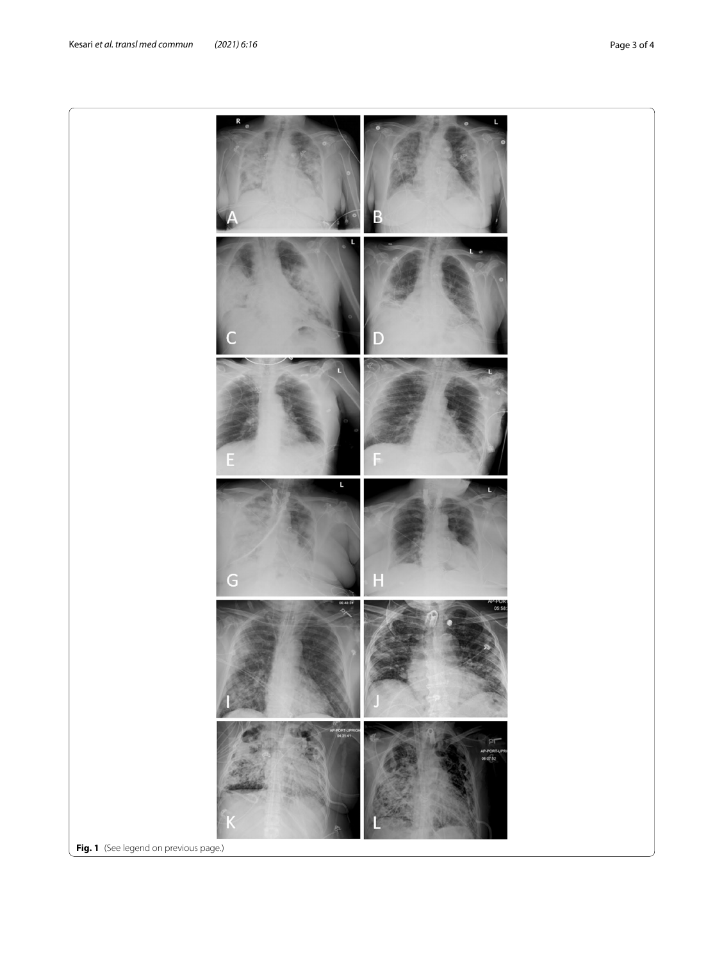